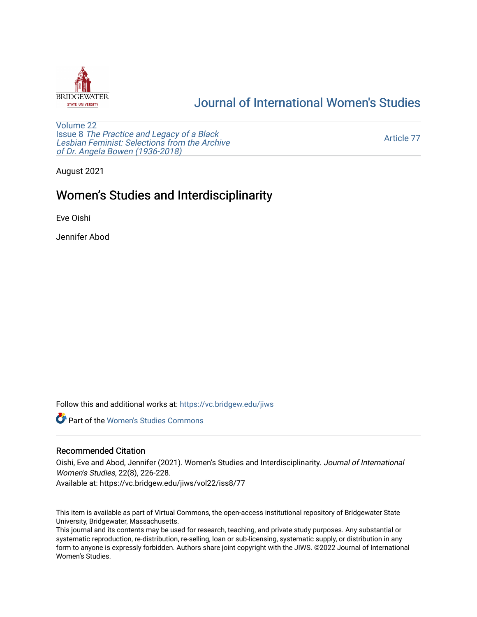

# [Journal of International Women's Studies](https://vc.bridgew.edu/jiws)

[Volume 22](https://vc.bridgew.edu/jiws/vol22) Issue 8 [The Practice and Legacy of a Black](https://vc.bridgew.edu/jiws/vol22/iss8)  [Lesbian Feminist: Selections from the Archive](https://vc.bridgew.edu/jiws/vol22/iss8)  [of Dr. Angela Bowen \(1936-2018\)](https://vc.bridgew.edu/jiws/vol22/iss8)

[Article 77](https://vc.bridgew.edu/jiws/vol22/iss8/77) 

August 2021

# Women's Studies and Interdisciplinarity

Eve Oishi

Jennifer Abod

Follow this and additional works at: [https://vc.bridgew.edu/jiws](https://vc.bridgew.edu/jiws?utm_source=vc.bridgew.edu%2Fjiws%2Fvol22%2Fiss8%2F77&utm_medium=PDF&utm_campaign=PDFCoverPages)

**C** Part of the Women's Studies Commons

## Recommended Citation

Oishi, Eve and Abod, Jennifer (2021). Women's Studies and Interdisciplinarity. Journal of International Women's Studies, 22(8), 226-228.

Available at: https://vc.bridgew.edu/jiws/vol22/iss8/77

This item is available as part of Virtual Commons, the open-access institutional repository of Bridgewater State University, Bridgewater, Massachusetts.

This journal and its contents may be used for research, teaching, and private study purposes. Any substantial or systematic reproduction, re-distribution, re-selling, loan or sub-licensing, systematic supply, or distribution in any form to anyone is expressly forbidden. Authors share joint copyright with the JIWS. ©2022 Journal of International Women's Studies.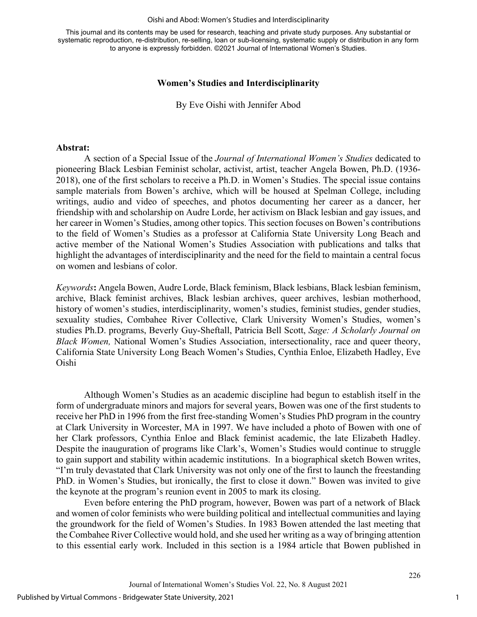#### Oishi and Abod: Women's Studies and Interdisciplinarity

This journal and its contents may be used for research, teaching and private study purposes. Any substantial or systematic reproduction, re-distribution, re-selling, loan or sub-licensing, systematic supply or distribution in any form to anyone is expressly forbidden. ©2021 Journal of International Women's Studies.

### **Women's Studies and Interdisciplinarity**

By Eve Oishi with Jennifer Abod

### **Abstrat:**

A section of a Special Issue of the *Journal of International Women's Studies* dedicated to pioneering Black Lesbian Feminist scholar, activist, artist, teacher Angela Bowen, Ph.D. (1936- 2018), one of the first scholars to receive a Ph.D. in Women's Studies. The special issue contains sample materials from Bowen's archive, which will be housed at Spelman College, including writings, audio and video of speeches, and photos documenting her career as a dancer, her friendship with and scholarship on Audre Lorde, her activism on Black lesbian and gay issues, and her career in Women's Studies, among other topics. This section focuses on Bowen's contributions to the field of Women's Studies as a professor at California State University Long Beach and active member of the National Women's Studies Association with publications and talks that highlight the advantages of interdisciplinarity and the need for the field to maintain a central focus on women and lesbians of color.

*Keywords***:** Angela Bowen, Audre Lorde, Black feminism, Black lesbians, Black lesbian feminism, archive, Black feminist archives, Black lesbian archives, queer archives, lesbian motherhood, history of women's studies, interdisciplinarity, women's studies, feminist studies, gender studies, sexuality studies, Combahee River Collective, Clark University Women's Studies, women's studies Ph.D. programs, Beverly Guy-Sheftall, Patricia Bell Scott, *Sage: A Scholarly Journal on Black Women,* National Women's Studies Association, intersectionality, race and queer theory, California State University Long Beach Women's Studies, Cynthia Enloe, Elizabeth Hadley, Eve Oishi

Although Women's Studies as an academic discipline had begun to establish itself in the form of undergraduate minors and majors for several years, Bowen was one of the first students to receive her PhD in 1996 from the first free-standing Women's Studies PhD program in the country at Clark University in Worcester, MA in 1997. We have included a photo of Bowen with one of her Clark professors, Cynthia Enloe and Black feminist academic, the late Elizabeth Hadley. Despite the inauguration of programs like Clark's, Women's Studies would continue to struggle to gain support and stability within academic institutions. In a biographical sketch Bowen writes, "I'm truly devastated that Clark University was not only one of the first to launch the freestanding PhD. in Women's Studies, but ironically, the first to close it down." Bowen was invited to give the keynote at the program's reunion event in 2005 to mark its closing.

Even before entering the PhD program, however, Bowen was part of a network of Black and women of color feminists who were building political and intellectual communities and laying the groundwork for the field of Women's Studies. In 1983 Bowen attended the last meeting that the Combahee River Collective would hold, and she used her writing as a way of bringing attention to this essential early work. Included in this section is a 1984 article that Bowen published in

1

226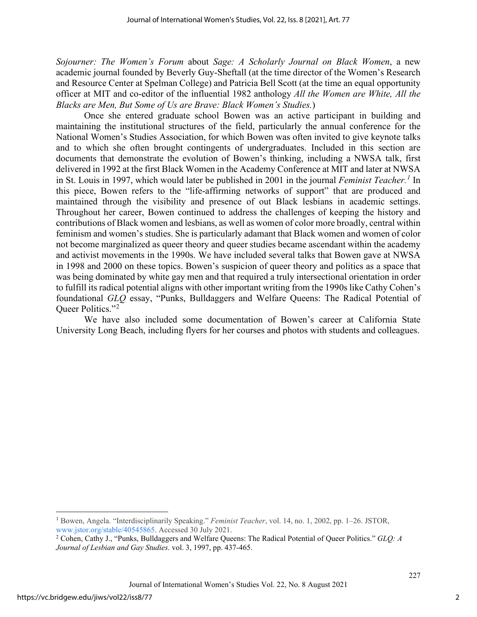*Sojourner: The Women's Forum* about *Sage: A Scholarly Journal on Black Women*, a new academic journal founded by Beverly Guy-Sheftall (at the time director of the Women's Research and Resource Center at Spelman College) and Patricia Bell Scott (at the time an equal opportunity officer at MIT and co-editor of the influential 1982 anthology *All the Women are White, All the Blacks are Men, But Some of Us are Brave: Black Women's Studies.*)

Once she entered graduate school Bowen was an active participant in building and maintaining the institutional structures of the field, particularly the annual conference for the National Women's Studies Association, for which Bowen was often invited to give keynote talks and to which she often brought contingents of undergraduates. Included in this section are documents that demonstrate the evolution of Bowen's thinking, including a NWSA talk, first delivered in 1992 at the first Black Women in the Academy Conference at MIT and later at NWSA in St. Louis in 1997, which would later be published in 2001 in the journal *Feminist Teacher.[1](#page-2-0)* In this piece, Bowen refers to the "life-affirming networks of support" that are produced and maintained through the visibility and presence of out Black lesbians in academic settings. Throughout her career, Bowen continued to address the challenges of keeping the history and contributions of Black women and lesbians, as well as women of color more broadly, central within feminism and women's studies. She is particularly adamant that Black women and women of color not become marginalized as queer theory and queer studies became ascendant within the academy and activist movements in the 1990s. We have included several talks that Bowen gave at NWSA in 1998 and 2000 on these topics. Bowen's suspicion of queer theory and politics as a space that was being dominated by white gay men and that required a truly intersectional orientation in order to fulfill its radical potential aligns with other important writing from the 1990s like Cathy Cohen's foundational *GLQ* essay, "Punks, Bulldaggers and Welfare Queens: The Radical Potential of Queer Politics."<sup>[2](#page-2-1)</sup>

We have also included some documentation of Bowen's career at California State University Long Beach, including flyers for her courses and photos with students and colleagues.

227

<span id="page-2-0"></span><sup>1</sup> Bowen, Angela. "Interdisciplinarily Speaking." *Feminist Teacher*, vol. 14, no. 1, 2002, pp. 1–26. JSTOR, [www.jstor.org/stable/40545865.](http://www.jstor.org/stable/40545865) Accessed 30 July 2021.

<span id="page-2-1"></span><sup>2</sup> Cohen, Cathy J., "Punks, Bulldaggers and Welfare Queens: The Radical Potential of Queer Politics." *GLQ: A Journal of Lesbian and Gay Studies*. vol. 3, 1997, pp. 437-465.